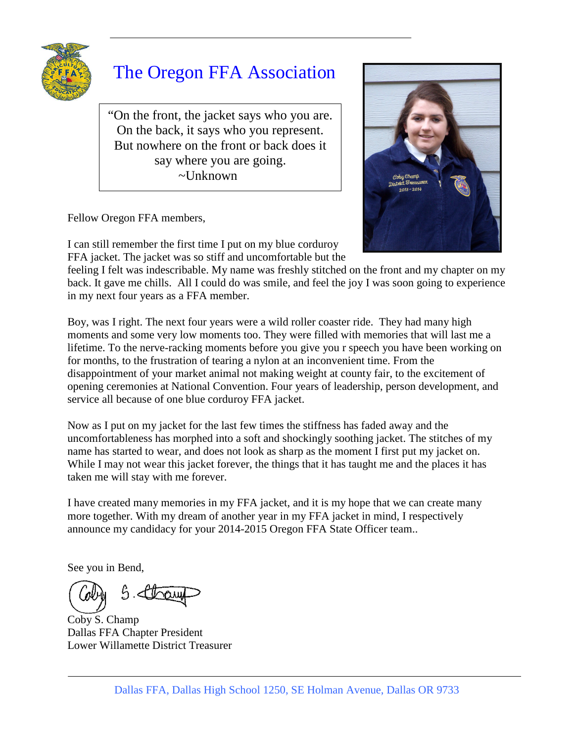

# The Oregon FFA Association

"On the front, the jacket says who you are. On the back, it says who you represent. But nowhere on the front or back does it say where you are going. ~Unknown

Fellow Oregon FFA members,



I can still remember the first time I put on my blue corduroy FFA jacket. The jacket was so stiff and uncomfortable but the

feeling I felt was indescribable. My name was freshly stitched on the front and my chapter on my back. It gave me chills. All I could do was smile, and feel the joy I was soon going to experience in my next four years as a FFA member.

Boy, was I right. The next four years were a wild roller coaster ride. They had many high moments and some very low moments too. They were filled with memories that will last me a lifetime. To the nerve-racking moments before you give you r speech you have been working on for months, to the frustration of tearing a nylon at an inconvenient time. From the disappointment of your market animal not making weight at county fair, to the excitement of opening ceremonies at National Convention. Four years of leadership, person development, and service all because of one blue corduroy FFA jacket.

Now as I put on my jacket for the last few times the stiffness has faded away and the uncomfortableness has morphed into a soft and shockingly soothing jacket. The stitches of my name has started to wear, and does not look as sharp as the moment I first put my jacket on. While I may not wear this jacket forever, the things that it has taught me and the places it has taken me will stay with me forever.

I have created many memories in my FFA jacket, and it is my hope that we can create many more together. With my dream of another year in my FFA jacket in mind, I respectively announce my candidacy for your 2014-2015 Oregon FFA State Officer team..

See you in Bend,

 $5.5$ 

Coby S. Champ Dallas FFA Chapter President Lower Willamette District Treasurer